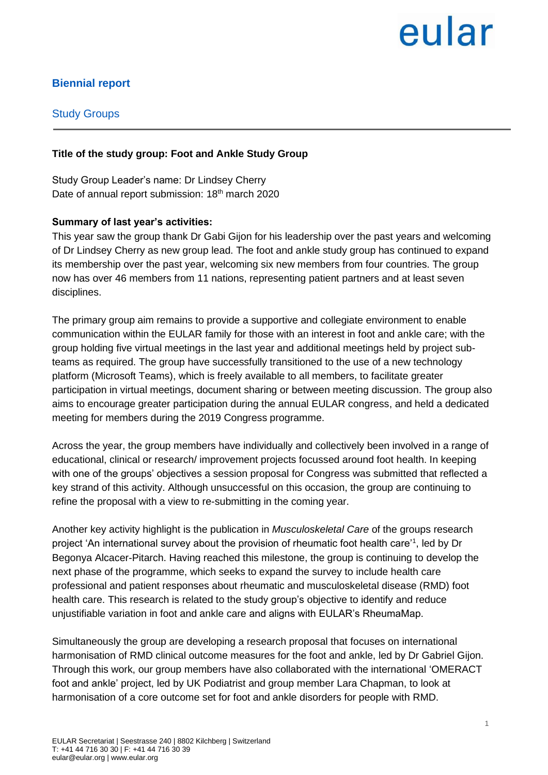# eular

### **Biennial report**

#### Study Groups

#### **Title of the study group: Foot and Ankle Study Group**

Study Group Leader's name: Dr Lindsey Cherry Date of annual report submission: 18<sup>th</sup> march 2020

#### **Summary of last year's activities:**

This year saw the group thank Dr Gabi Gijon for his leadership over the past years and welcoming of Dr Lindsey Cherry as new group lead. The foot and ankle study group has continued to expand its membership over the past year, welcoming six new members from four countries. The group now has over 46 members from 11 nations, representing patient partners and at least seven disciplines.

The primary group aim remains to provide a supportive and collegiate environment to enable communication within the EULAR family for those with an interest in foot and ankle care; with the group holding five virtual meetings in the last year and additional meetings held by project subteams as required. The group have successfully transitioned to the use of a new technology platform (Microsoft Teams), which is freely available to all members, to facilitate greater participation in virtual meetings, document sharing or between meeting discussion. The group also aims to encourage greater participation during the annual EULAR congress, and held a dedicated meeting for members during the 2019 Congress programme.

Across the year, the group members have individually and collectively been involved in a range of educational, clinical or research/ improvement projects focussed around foot health. In keeping with one of the groups' objectives a session proposal for Congress was submitted that reflected a key strand of this activity. Although unsuccessful on this occasion, the group are continuing to refine the proposal with a view to re-submitting in the coming year.

Another key activity highlight is the publication in *Musculoskeletal Care* of the groups research project 'An international survey about the provision of rheumatic foot health care<sup>11</sup>, led by Dr Begonya Alcacer-Pitarch. Having reached this milestone, the group is continuing to develop the next phase of the programme, which seeks to expand the survey to include health care professional and patient responses about rheumatic and musculoskeletal disease (RMD) foot health care. This research is related to the study group's objective to identify and reduce unjustifiable variation in foot and ankle care and aligns with EULAR's RheumaMap.

Simultaneously the group are developing a research proposal that focuses on international harmonisation of RMD clinical outcome measures for the foot and ankle, led by Dr Gabriel Gijon. Through this work, our group members have also collaborated with the international 'OMERACT foot and ankle' project, led by UK Podiatrist and group member Lara Chapman, to look at harmonisation of a core outcome set for foot and ankle disorders for people with RMD.